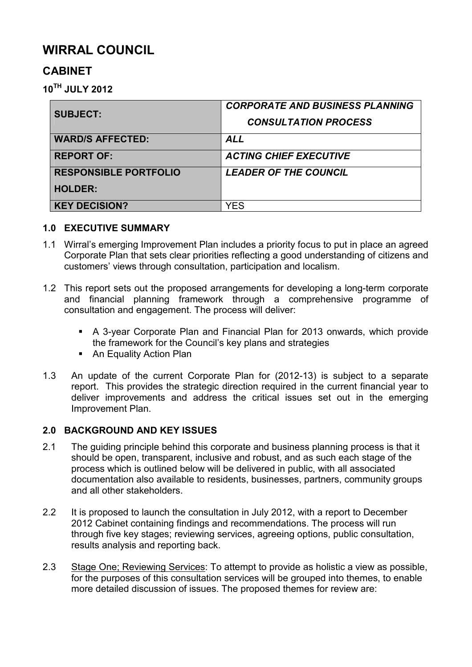# **WIRRAL COUNCIL**

## **CABINET**

**10TH JULY 2012** 

| <b>SUBJECT:</b>              | <b>CORPORATE AND BUSINESS PLANNING</b> |
|------------------------------|----------------------------------------|
|                              | <b>CONSULTATION PROCESS</b>            |
| <b>WARD/S AFFECTED:</b>      | <b>ALL</b>                             |
| <b>REPORT OF:</b>            | <b>ACTING CHIEF EXECUTIVE</b>          |
| <b>RESPONSIBLE PORTFOLIO</b> | <b>LEADER OF THE COUNCIL</b>           |
| <b>HOLDER:</b>               |                                        |
| <b>KEY DECISION?</b>         | YES                                    |

#### **1.0 EXECUTIVE SUMMARY**

- 1.1 Wirral's emerging Improvement Plan includes a priority focus to put in place an agreed Corporate Plan that sets clear priorities reflecting a good understanding of citizens and customers' views through consultation, participation and localism.
- 1.2 This report sets out the proposed arrangements for developing a long-term corporate and financial planning framework through a comprehensive programme of consultation and engagement. The process will deliver:
	- § A 3-year Corporate Plan and Financial Plan for 2013 onwards, which provide the framework for the Council's key plans and strategies
	- An Equality Action Plan
- 1.3 An update of the current Corporate Plan for (2012-13) is subject to a separate report. This provides the strategic direction required in the current financial year to deliver improvements and address the critical issues set out in the emerging Improvement Plan.

## **2.0 BACKGROUND AND KEY ISSUES**

- 2.1 The guiding principle behind this corporate and business planning process is that it should be open, transparent, inclusive and robust, and as such each stage of the process which is outlined below will be delivered in public, with all associated documentation also available to residents, businesses, partners, community groups and all other stakeholders.
- 2.2 It is proposed to launch the consultation in July 2012, with a report to December 2012 Cabinet containing findings and recommendations. The process will run through five key stages; reviewing services, agreeing options, public consultation, results analysis and reporting back.
- 2.3 Stage One; Reviewing Services: To attempt to provide as holistic a view as possible, for the purposes of this consultation services will be grouped into themes, to enable more detailed discussion of issues. The proposed themes for review are: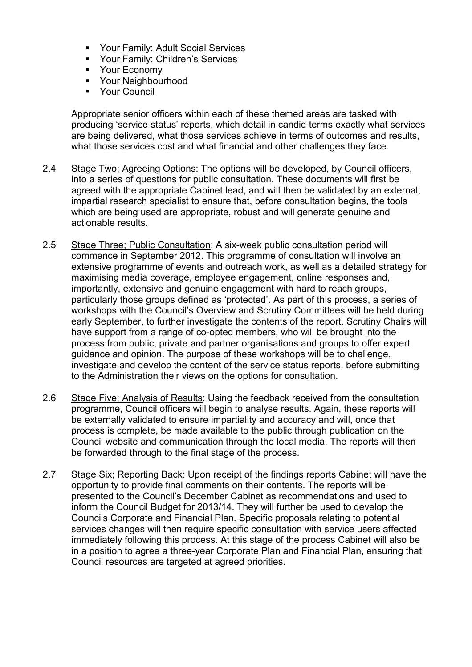- § Your Family: Adult Social Services
- § Your Family: Children's Services
- § Your Economy
- § Your Neighbourhood
- § Your Council

Appropriate senior officers within each of these themed areas are tasked with producing 'service status' reports, which detail in candid terms exactly what services are being delivered, what those services achieve in terms of outcomes and results, what those services cost and what financial and other challenges they face.

- 2.4 Stage Two; Agreeing Options: The options will be developed, by Council officers, into a series of questions for public consultation. These documents will first be agreed with the appropriate Cabinet lead, and will then be validated by an external, impartial research specialist to ensure that, before consultation begins, the tools which are being used are appropriate, robust and will generate genuine and actionable results.
- 2.5 Stage Three; Public Consultation: A six-week public consultation period will commence in September 2012. This programme of consultation will involve an extensive programme of events and outreach work, as well as a detailed strategy for maximising media coverage, employee engagement, online responses and, importantly, extensive and genuine engagement with hard to reach groups, particularly those groups defined as 'protected'. As part of this process, a series of workshops with the Council's Overview and Scrutiny Committees will be held during early September, to further investigate the contents of the report. Scrutiny Chairs will have support from a range of co-opted members, who will be brought into the process from public, private and partner organisations and groups to offer expert guidance and opinion. The purpose of these workshops will be to challenge, investigate and develop the content of the service status reports, before submitting to the Administration their views on the options for consultation.
- 2.6 Stage Five; Analysis of Results: Using the feedback received from the consultation programme, Council officers will begin to analyse results. Again, these reports will be externally validated to ensure impartiality and accuracy and will, once that process is complete, be made available to the public through publication on the Council website and communication through the local media. The reports will then be forwarded through to the final stage of the process.
- 2.7 Stage Six; Reporting Back: Upon receipt of the findings reports Cabinet will have the opportunity to provide final comments on their contents. The reports will be presented to the Council's December Cabinet as recommendations and used to inform the Council Budget for 2013/14. They will further be used to develop the Councils Corporate and Financial Plan. Specific proposals relating to potential services changes will then require specific consultation with service users affected immediately following this process. At this stage of the process Cabinet will also be in a position to agree a three-year Corporate Plan and Financial Plan, ensuring that Council resources are targeted at agreed priorities.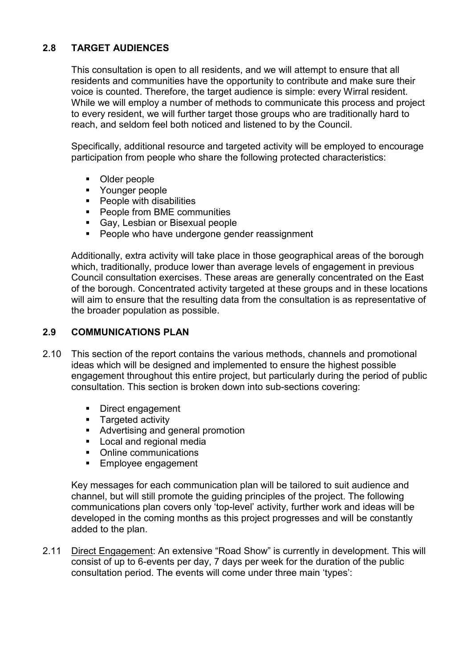## **2.8 TARGET AUDIENCES**

This consultation is open to all residents, and we will attempt to ensure that all residents and communities have the opportunity to contribute and make sure their voice is counted. Therefore, the target audience is simple: every Wirral resident. While we will employ a number of methods to communicate this process and project to every resident, we will further target those groups who are traditionally hard to reach, and seldom feel both noticed and listened to by the Council.

Specifically, additional resource and targeted activity will be employed to encourage participation from people who share the following protected characteristics:

- Older people
- § Younger people
- People with disabilities
- People from BME communities
- Gay, Lesbian or Bisexual people
- People who have undergone gender reassignment

Additionally, extra activity will take place in those geographical areas of the borough which, traditionally, produce lower than average levels of engagement in previous Council consultation exercises. These areas are generally concentrated on the East of the borough. Concentrated activity targeted at these groups and in these locations will aim to ensure that the resulting data from the consultation is as representative of the broader population as possible.

#### **2.9 COMMUNICATIONS PLAN**

- 2.10 This section of the report contains the various methods, channels and promotional ideas which will be designed and implemented to ensure the highest possible engagement throughout this entire project, but particularly during the period of public consultation. This section is broken down into sub-sections covering:
	- Direct engagement<br>■ Targeted activity
	- § Targeted activity
	- Advertising and general promotion
	- Local and regional media
	- Online communications
	- Employee engagement

Key messages for each communication plan will be tailored to suit audience and channel, but will still promote the guiding principles of the project. The following communications plan covers only 'top-level' activity, further work and ideas will be developed in the coming months as this project progresses and will be constantly added to the plan.

2.11 Direct Engagement: An extensive "Road Show" is currently in development. This will consist of up to 6-events per day, 7 days per week for the duration of the public consultation period. The events will come under three main 'types':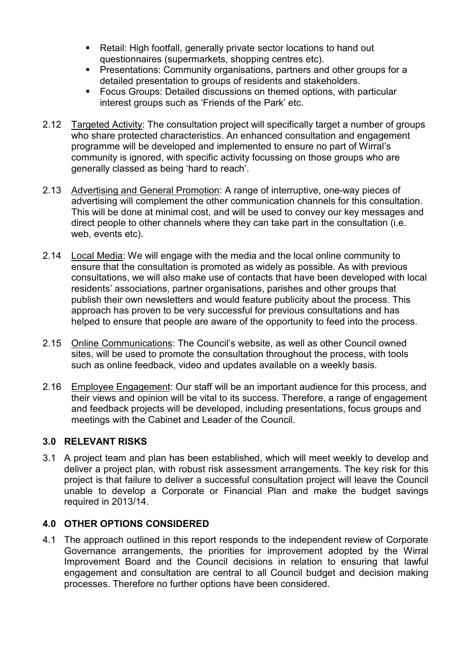- Retail: High footfall, generally private sector locations to hand out questionnaires (supermarkets, shopping centres etc).
- § Presentations: Community organisations, partners and other groups for a detailed presentation to groups of residents and stakeholders.
- Focus Groups: Detailed discussions on themed options, with particular interest groups such as 'Friends of the Park' etc.
- 2.12 Targeted Activity: The consultation project will specifically target a number of groups who share protected characteristics. An enhanced consultation and engagement programme will be developed and implemented to ensure no part of Wirral's community is ignored, with specific activity focussing on those groups who are generally classed as being 'hard to reach'.
- 2.13 Advertising and General Promotion: A range of interruptive, one-way pieces of advertising will complement the other communication channels for this consultation. This will be done at minimal cost, and will be used to convey our key messages and direct people to other channels where they can take part in the consultation (i.e. web, events etc).
- 2.14 Local Media: We will engage with the media and the local online community to ensure that the consultation is promoted as widely as possible. As with previous consultations, we will also make use of contacts that have been developed with local residents' associations, partner organisations, parishes and other groups that publish their own newsletters and would feature publicity about the process. This approach has proven to be very successful for previous consultations and has helped to ensure that people are aware of the opportunity to feed into the process.
- 2.15 Online Communications: The Council's website, as well as other Council owned sites, will be used to promote the consultation throughout the process, with tools such as online feedback, video and updates available on a weekly basis.
- 2.16 Employee Engagement: Our staff will be an important audience for this process, and their views and opinion will be vital to its success. Therefore, a range of engagement and feedback projects will be developed, including presentations, focus groups and meetings with the Cabinet and Leader of the Council.

## **3.0 RELEVANT RISKS**

3.1 A project team and plan has been established, which will meet weekly to develop and deliver a project plan, with robust risk assessment arrangements. The key risk for this project is that failure to deliver a successful consultation project will leave the Council unable to develop a Corporate or Financial Plan and make the budget savings required in 2013/14.

## **4.0 OTHER OPTIONS CONSIDERED**

4.1 The approach outlined in this report responds to the independent review of Corporate Governance arrangements, the priorities for improvement adopted by the Wirral Improvement Board and the Council decisions in relation to ensuring that lawful engagement and consultation are central to all Council budget and decision making processes. Therefore no further options have been considered.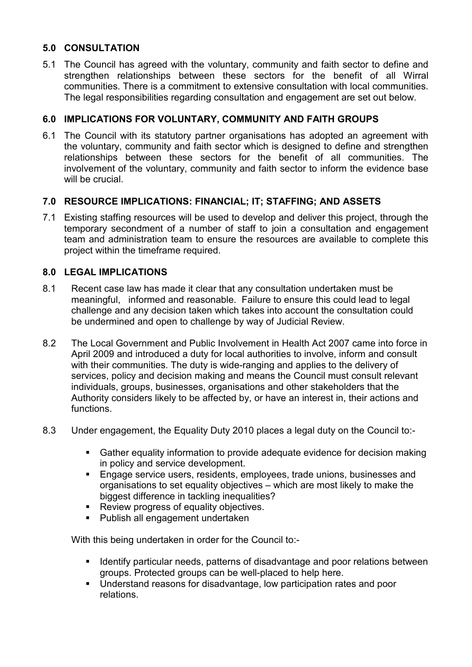## **5.0 CONSULTATION**

5.1 The Council has agreed with the voluntary, community and faith sector to define and strengthen relationships between these sectors for the benefit of all Wirral communities. There is a commitment to extensive consultation with local communities. The legal responsibilities regarding consultation and engagement are set out below.

## **6.0 IMPLICATIONS FOR VOLUNTARY, COMMUNITY AND FAITH GROUPS**

6.1 The Council with its statutory partner organisations has adopted an agreement with the voluntary, community and faith sector which is designed to define and strengthen relationships between these sectors for the benefit of all communities. The involvement of the voluntary, community and faith sector to inform the evidence base will be crucial.

#### **7.0 RESOURCE IMPLICATIONS: FINANCIAL; IT; STAFFING; AND ASSETS**

7.1 Existing staffing resources will be used to develop and deliver this project, through the temporary secondment of a number of staff to join a consultation and engagement team and administration team to ensure the resources are available to complete this project within the timeframe required.

## **8.0 LEGAL IMPLICATIONS**

- 8.1 Recent case law has made it clear that any consultation undertaken must be meaningful, informed and reasonable. Failure to ensure this could lead to legal challenge and any decision taken which takes into account the consultation could be undermined and open to challenge by way of Judicial Review.
- 8.2 The Local Government and Public Involvement in Health Act 2007 came into force in April 2009 and introduced a duty for local authorities to involve, inform and consult with their communities. The duty is wide-ranging and applies to the delivery of services, policy and decision making and means the Council must consult relevant individuals, groups, businesses, organisations and other stakeholders that the Authority considers likely to be affected by, or have an interest in, their actions and functions.
- 8.3 Under engagement, the Equality Duty 2010 places a legal duty on the Council to:-
	- Gather equality information to provide adequate evidence for decision making in policy and service development.
	- **Engage service users, residents, employees, trade unions, businesses and Fig. 2.** organisations to set equality objectives – which are most likely to make the biggest difference in tackling inequalities?
	- Review progress of equality objectives.
	- § Publish all engagement undertaken

With this being undertaken in order for the Council to:-

- Identify particular needs, patterns of disadvantage and poor relations between groups. Protected groups can be well-placed to help here.
- Understand reasons for disadvantage, low participation rates and poor relations.